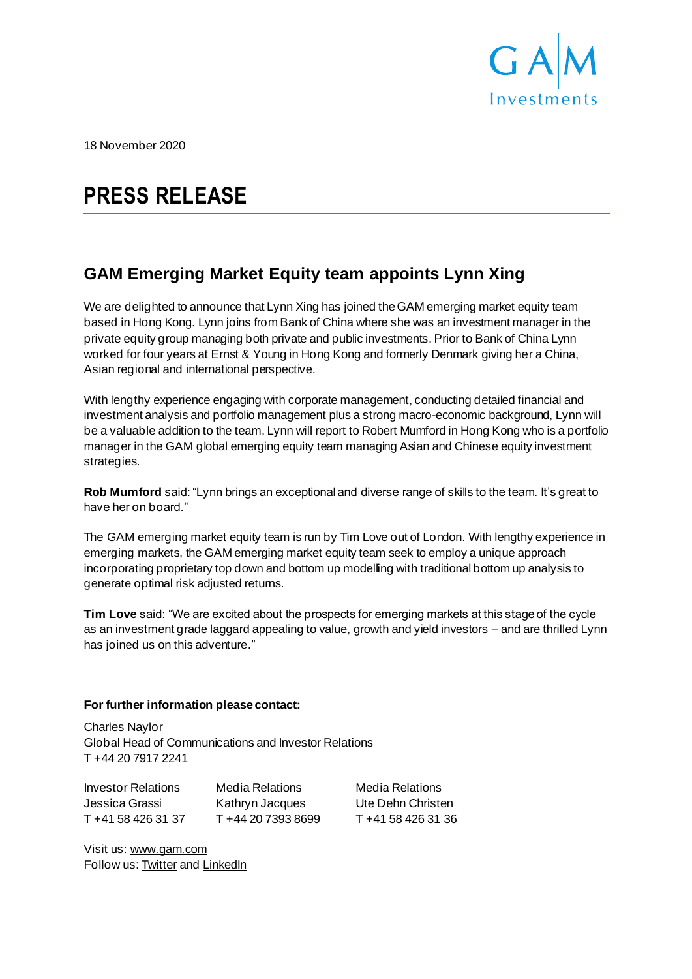

18 November 2020

# **PRESS RELEASE**

# **GAM Emerging Market Equity team appoints Lynn Xing**

We are delighted to announce that Lynn Xing has joined the GAM emerging market equity team based in Hong Kong. Lynn joins from Bank of China where she was an investment manager in the private equity group managing both private and public investments. Prior to Bank of China Lynn worked for four years at Ernst & Young in Hong Kong and formerly Denmark giving her a China, Asian regional and international perspective.

With lengthy experience engaging with corporate management, conducting detailed financial and investment analysis and portfolio management plus a strong macro-economic background, Lynn will be a valuable addition to the team. Lynn will report to Robert Mumford in Hong Kong who is a portfolio manager in the GAM global emerging equity team managing Asian and Chinese equity investment strategies.

**Rob Mumford** said: "Lynn brings an exceptional and diverse range of skills to the team. It's great to have her on board."

The GAM emerging market equity team is run by Tim Love out of London. With lengthy experience in emerging markets, the GAM emerging market equity team seek to employ a unique approach incorporating proprietary top down and bottom up modelling with traditional bottom up analysis to generate optimal risk adjusted returns.

**Tim Love** said: "We are excited about the prospects for emerging markets at this stage of the cycle as an investment grade laggard appealing to value, growth and yield investors – and are thrilled Lynn has joined us on this adventure."

## **For further information please contact:**

Charles Naylor Global Head of Communications and Investor Relations T +44 20 7917 2241

Investor Relations Media Relations Media Relations Jessica Grassi Kathryn Jacques Ute Dehn Christen T +41 58 426 31 37 T +44 20 7393 8699 T +41 58 426 31 36

Visit us[: www.gam.com](http://www.gam.com/) Follow us[: Twitter](https://twitter.com/gaminsights) an[d LinkedIn](https://www.linkedin.com/company/gam-investments/)